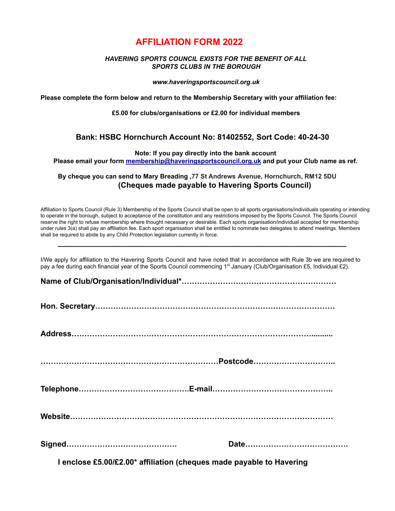## **AFFILIATION FORM 2022**

## *HAVERING SPORTS COUNCIL EXISTS FOR THE BENEFIT OF ALL SPORTS CLUBS IN THE BOROUGH*

*www.haveringsportscouncil.org.uk*

**Please complete the form below and return to the Membership Secretary with your affiliation fee:**

**£5.00 for clubs/organisations or £2.00 for individual members**

## **Bank: HSBC Hornchurch Account No: 81402552, Sort Code: 40-24-30**

**Note: If you pay directly into the bank account**

**Please email your form [membership@haveringsportscouncil.org.uk](mailto:membership@haveringsportscouncil.org.uk) and put your Club name as ref.**

**By cheque you can send to Mary Breading ,77 St Andrews Avenue, Hornchurch, RM12 5DU (Cheques made payable to Havering Sports Council)**

Affiliation to Sports Council (Rule 3) Membership of the Sports Council shall be open to all sports organisations/individuals operating or intending to operate in the borough, subject to acceptance of the constitution and any restrictions imposed by the Sports Council. The Sports Council reserve the right to refuse membership where thought necessary or desirable. Each sports organisation/individual accepted for membership under rules 3(a) shall pay an affiliation fee. Each sport organisation shall be entitled to nominate two delegates to attend meetings. Members shall be required to abide by any Child Protection legislation currently in force.

I/We apply for affiliation to the Havering Sports Council and have noted that in accordance with Rule 3b we are required to pay a fee during each financial year of the Sports Council commencing 1<sup>st</sup> January (Club/Organisation £5, Individual £2).

**\_\_\_\_\_\_\_\_\_\_\_\_\_\_\_\_\_\_\_\_\_\_\_\_\_\_\_\_\_\_\_\_\_\_\_\_\_\_\_\_\_\_\_\_\_\_\_\_\_\_\_\_\_\_\_\_\_\_\_\_\_\_\_\_\_\_\_**

**Name of Club/Organisation/Individual\*……………………………………………………**

**Hon. Secretary…………………………………………………………………………………**

**Address…………………………………………………………………………………..........**

**……………………………………………………………Postcode…………………………..**

**Telephone…………………………………….E-mail………………………………………..**

**Website…………………………………………………………………………………………**

**I enclose £5.00/£2.00\* affiliation (cheques made payable to Havering**